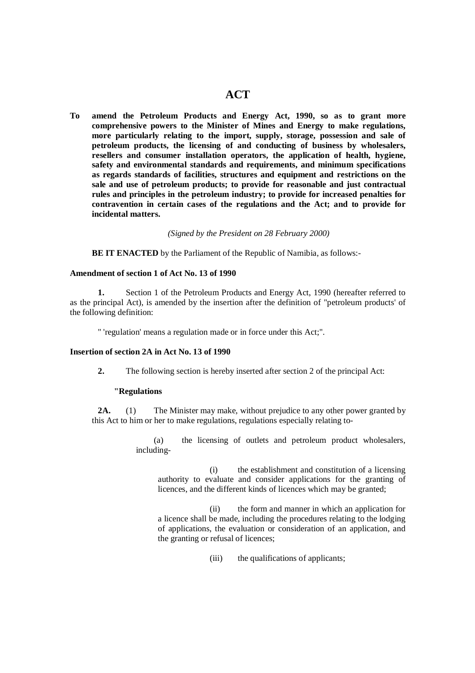# **ACT**

**To amend the Petroleum Products and Energy Act, 1990, so as to grant more comprehensive powers to the Minister of Mines and Energy to make regulations, more particularly relating to the import, supply, storage, possession and sale of petroleum products, the licensing of and conducting of business by wholesalers, resellers and consumer installation operators, the application of health, hygiene, safety and environmental standards and requirements, and minimum specifications as regards standards of facilities, structures and equipment and restrictions on the sale and use of petroleum products; to provide for reasonable and just contractual rules and principles in the petroleum industry; to provide for increased penalties for contravention in certain cases of the regulations and the Act; and to provide for incidental matters.** 

*(Signed by the President on 28 February 2000)*

 **BE IT ENACTED** by the Parliament of the Republic of Namibia, as follows:-

#### **Amendment of section 1 of Act No. 13 of 1990**

 **1.** Section 1 of the Petroleum Products and Energy Act, 1990 (hereafter referred to as the principal Act), is amended by the insertion after the definition of "petroleum products' of the following definition:

" 'regulation' means a regulation made or in force under this Act;".

#### **Insertion of section 2A in Act No. 13 of 1990**

 **2.** The following section is hereby inserted after section 2 of the principal Act:

#### **"Regulations**

**2A.** (1) The Minister may make, without prejudice to any other power granted by this Act to him or her to make regulations, regulations especially relating to-

> (a) the licensing of outlets and petroleum product wholesalers, including-

 (i) the establishment and constitution of a licensing authority to evaluate and consider applications for the granting of licences, and the different kinds of licences which may be granted;

 (ii) the form and manner in which an application for a licence shall be made, including the procedures relating to the lodging of applications, the evaluation or consideration of an application, and the granting or refusal of licences;

(iii) the qualifications of applicants;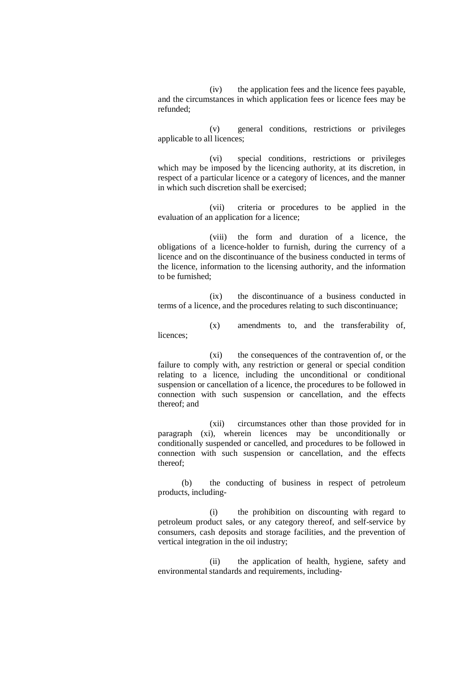(iv) the application fees and the licence fees payable, and the circumstances in which application fees or licence fees may be refunded;

 (v) general conditions, restrictions or privileges applicable to all licences;

 (vi) special conditions, restrictions or privileges which may be imposed by the licencing authority, at its discretion, in respect of a particular licence or a category of licences, and the manner in which such discretion shall be exercised;

 (vii) criteria or procedures to be applied in the evaluation of an application for a licence;

 (viii) the form and duration of a licence, the obligations of a licence-holder to furnish, during the currency of a licence and on the discontinuance of the business conducted in terms of the licence, information to the licensing authority, and the information to be furnished;

 (ix) the discontinuance of a business conducted in terms of a licence, and the procedures relating to such discontinuance;

 (x) amendments to, and the transferability of, licences;

 (xi) the consequences of the contravention of, or the failure to comply with, any restriction or general or special condition relating to a licence, including the unconditional or conditional suspension or cancellation of a licence, the procedures to be followed in connection with such suspension or cancellation, and the effects thereof; and

 (xii) circumstances other than those provided for in paragraph (xi), wherein licences may be unconditionally or conditionally suspended or cancelled, and procedures to be followed in connection with such suspension or cancellation, and the effects thereof;

 (b) the conducting of business in respect of petroleum products, including-

 (i) the prohibition on discounting with regard to petroleum product sales, or any category thereof, and self-service by consumers, cash deposits and storage facilities, and the prevention of vertical integration in the oil industry;

 (ii) the application of health, hygiene, safety and environmental standards and requirements, including-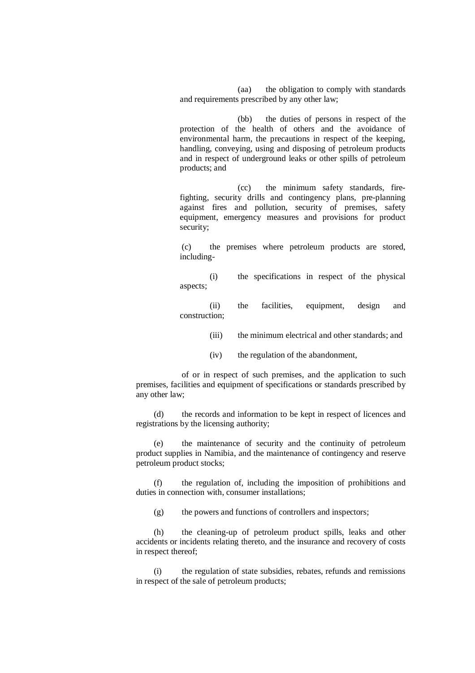(aa) the obligation to comply with standards and requirements prescribed by any other law;

 (bb) the duties of persons in respect of the protection of the health of others and the avoidance of environmental harm, the precautions in respect of the keeping, handling, conveying, using and disposing of petroleum products and in respect of underground leaks or other spills of petroleum products; and

 (cc) the minimum safety standards, firefighting, security drills and contingency plans, pre-planning against fires and pollution, security of premises, safety equipment, emergency measures and provisions for product security;

 (c) the premises where petroleum products are stored, including-

 (i) the specifications in respect of the physical aspects;

 (ii) the facilities, equipment, design and construction;

- (iii) the minimum electrical and other standards; and
- (iv) the regulation of the abandonment,

 of or in respect of such premises, and the application to such premises, facilities and equipment of specifications or standards prescribed by any other law;

 (d) the records and information to be kept in respect of licences and registrations by the licensing authority;

 (e) the maintenance of security and the continuity of petroleum product supplies in Namibia, and the maintenance of contingency and reserve petroleum product stocks;

 (f) the regulation of, including the imposition of prohibitions and duties in connection with, consumer installations;

 $(g)$  the powers and functions of controllers and inspectors;

 (h) the cleaning-up of petroleum product spills, leaks and other accidents or incidents relating thereto, and the insurance and recovery of costs in respect thereof;

 (i) the regulation of state subsidies, rebates, refunds and remissions in respect of the sale of petroleum products;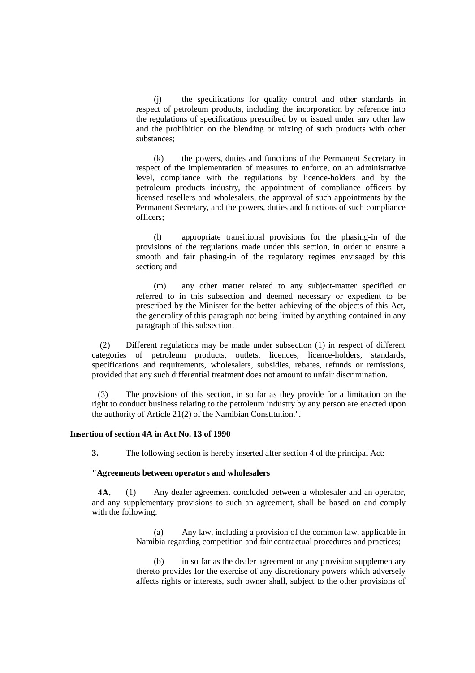(j) the specifications for quality control and other standards in respect of petroleum products, including the incorporation by reference into the regulations of specifications prescribed by or issued under any other law and the prohibition on the blending or mixing of such products with other substances;

 (k) the powers, duties and functions of the Permanent Secretary in respect of the implementation of measures to enforce, on an administrative level, compliance with the regulations by licence-holders and by the petroleum products industry, the appointment of compliance officers by licensed resellers and wholesalers, the approval of such appointments by the Permanent Secretary, and the powers, duties and functions of such compliance officers;

 (l) appropriate transitional provisions for the phasing-in of the provisions of the regulations made under this section, in order to ensure a smooth and fair phasing-in of the regulatory regimes envisaged by this section; and

 (m) any other matter related to any subject-matter specified or referred to in this subsection and deemed necessary or expedient to be prescribed by the Minister for the better achieving of the objects of this Act, the generality of this paragraph not being limited by anything contained in any paragraph of this subsection.

 (2) Different regulations may be made under subsection (1) in respect of different categories of petroleum products, outlets, licences, licence-holders, standards, specifications and requirements, wholesalers, subsidies, rebates, refunds or remissions, provided that any such differential treatment does not amount to unfair discrimination.

 (3) The provisions of this section, in so far as they provide for a limitation on the right to conduct business relating to the petroleum industry by any person are enacted upon the authority of Article 21(2) of the Namibian Constitution.".

## **Insertion of section 4A in Act No. 13 of 1990**

**3.** The following section is hereby inserted after section 4 of the principal Act:

#### **"Agreements between operators and wholesalers**

 **4A.** (1) Any dealer agreement concluded between a wholesaler and an operator, and any supplementary provisions to such an agreement, shall be based on and comply with the following:

> (a) Any law, including a provision of the common law, applicable in Namibia regarding competition and fair contractual procedures and practices;

> (b) in so far as the dealer agreement or any provision supplementary thereto provides for the exercise of any discretionary powers which adversely affects rights or interests, such owner shall, subject to the other provisions of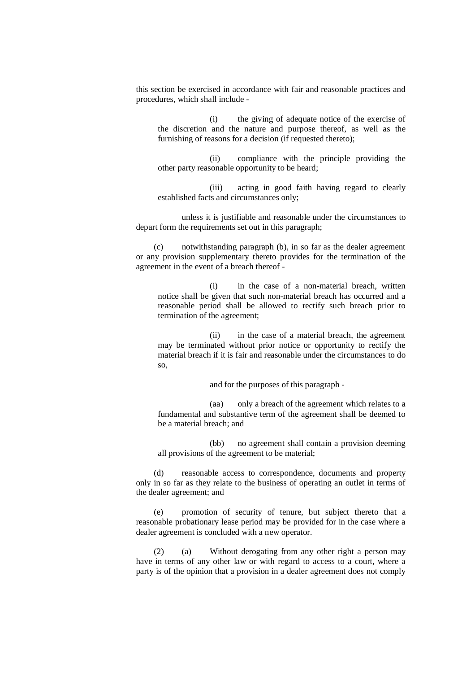this section be exercised in accordance with fair and reasonable practices and procedures, which shall include -

 (i) the giving of adequate notice of the exercise of the discretion and the nature and purpose thereof, as well as the furnishing of reasons for a decision (if requested thereto);

 (ii) compliance with the principle providing the other party reasonable opportunity to be heard;

 (iii) acting in good faith having regard to clearly established facts and circumstances only;

 unless it is justifiable and reasonable under the circumstances to depart form the requirements set out in this paragraph;

 (c) notwithstanding paragraph (b), in so far as the dealer agreement or any provision supplementary thereto provides for the termination of the agreement in the event of a breach thereof -

 (i) in the case of a non-material breach, written notice shall be given that such non-material breach has occurred and a reasonable period shall be allowed to rectify such breach prior to termination of the agreement;

 (ii) in the case of a material breach, the agreement may be terminated without prior notice or opportunity to rectify the material breach if it is fair and reasonable under the circumstances to do so,

and for the purposes of this paragraph -

 (aa) only a breach of the agreement which relates to a fundamental and substantive term of the agreement shall be deemed to be a material breach; and

 (bb) no agreement shall contain a provision deeming all provisions of the agreement to be material;

 (d) reasonable access to correspondence, documents and property only in so far as they relate to the business of operating an outlet in terms of the dealer agreement; and

 (e) promotion of security of tenure, but subject thereto that a reasonable probationary lease period may be provided for in the case where a dealer agreement is concluded with a new operator.

 (2) (a) Without derogating from any other right a person may have in terms of any other law or with regard to access to a court, where a party is of the opinion that a provision in a dealer agreement does not comply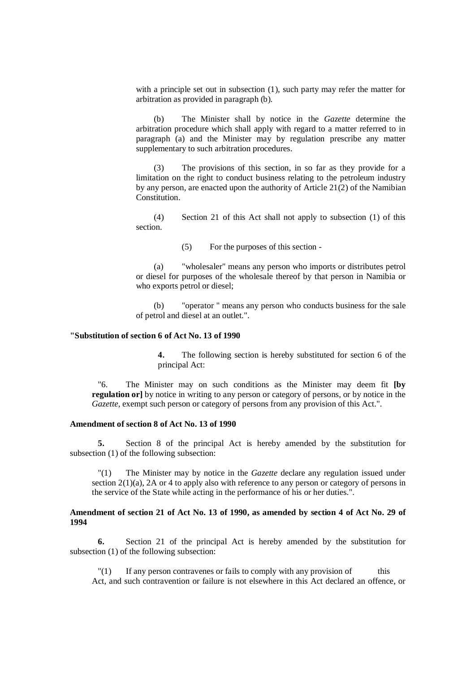with a principle set out in subsection (1), such party may refer the matter for arbitration as provided in paragraph (b).

 (b) The Minister shall by notice in the *Gazette* determine the arbitration procedure which shall apply with regard to a matter referred to in paragraph (a) and the Minister may by regulation prescribe any matter supplementary to such arbitration procedures.

 (3) The provisions of this section, in so far as they provide for a limitation on the right to conduct business relating to the petroleum industry by any person, are enacted upon the authority of Article 21(2) of the Namibian Constitution.

 (4) Section 21 of this Act shall not apply to subsection (1) of this section.

(5) For the purposes of this section -

 (a) "wholesaler" means any person who imports or distributes petrol or diesel for purposes of the wholesale thereof by that person in Namibia or who exports petrol or diesel;

 (b) "operator " means any person who conducts business for the sale of petrol and diesel at an outlet.".

### **"Substitution of section 6 of Act No. 13 of 1990**

**4.** The following section is hereby substituted for section 6 of the principal Act:

 "6. The Minister may on such conditions as the Minister may deem fit **[by regulation or** by notice in writing to any person or category of persons, or by notice in the *Gazette*, exempt such person or category of persons from any provision of this Act.".

### **Amendment of section 8 of Act No. 13 of 1990**

 **5.** Section 8 of the principal Act is hereby amended by the substitution for subsection (1) of the following subsection:

 "(1) The Minister may by notice in the *Gazette* declare any regulation issued under section  $2(1)(a)$ ,  $2A$  or 4 to apply also with reference to any person or category of persons in the service of the State while acting in the performance of his or her duties.".

## **Amendment of section 21 of Act No. 13 of 1990, as amended by section 4 of Act No. 29 of 1994**

 **6.** Section 21 of the principal Act is hereby amended by the substitution for subsection (1) of the following subsection:

 $''(1)$  If any person contravenes or fails to comply with any provision of this Act, and such contravention or failure is not elsewhere in this Act declared an offence, or